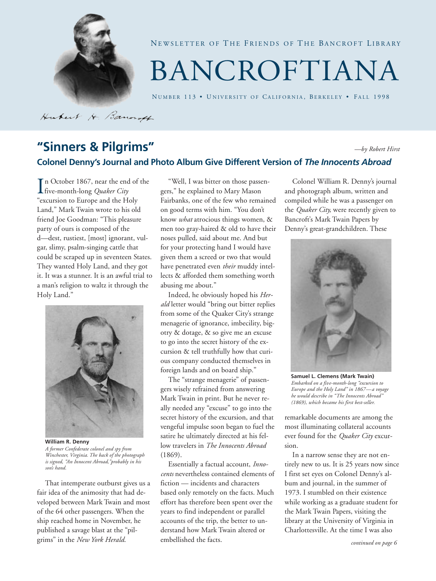

Hubert H. Bancroft

NEWSLETTER OF THE FRIENDS OF THE BANCROFT LIBRARY

# BANCROFTIANA

NUMBER 113 • UNIVERSITY OF CALIFORNIA, BERKELEY • FALL 1998

#### **"Sinners & Pilgrims" Colonel Denny's Journal and Photo Album Give Different Version of** *The Innocents Abroad —by Robert Hirst*

In October 1867, near the end of the<br>five-month-long *Quaker City*<br>"excursion to Furope and the Holy" five-month-long *Quaker City* "excursion to Europe and the Holy Land," Mark Twain wrote to his old friend Joe Goodman: "This pleasure party of ours is composed of the d—dest, rustiest, [most] ignorant, vulgar, slimy, psalm-singing cattle that could be scraped up in seventeen States. They wanted Holy Land, and they got it. It was a stunner. It is an awful trial to a man's religion to waltz it through the Holy Land."



**William R. Denny** *A former Confederate colonel and spy from Winchester, Virginia. The back of the photograph is signed, "An Innocent Abroad,"probably in his son's hand.*

That intemperate outburst gives us a fair idea of the animosity that had developed between Mark Twain and most of the 64 other passengers. When the ship reached home in November, he published a savage blast at the "pilgrims" in the *New York Herald*.

"Well, I was bitter on those passengers," he explained to Mary Mason Fairbanks, one of the few who remained on good terms with him. "You don't know *what* atrocious things women, & men too gray-haired & old to have their noses pulled, said about me. And but for your protecting hand I would have given them a screed or two that would have penetrated even *their* muddy intellects & afforded them something worth abusing me about."

Indeed, he obviously hoped his *Herald* letter would "bring out bitter replies from some of the Quaker City's strange menagerie of ignorance, imbecility, bigotry & dotage, & so give me an excuse to go into the secret history of the excursion & tell truthfully how that curious company conducted themselves in foreign lands and on board ship."

The "strange menagerie" of passengers wisely refrained from answering Mark Twain in print. But he never really needed any "excuse" to go into the secret history of the excursion, and that vengeful impulse soon began to fuel the satire he ultimately directed at his fellow travelers in *The Innocents Abroad* (1869).

Essentially a factual account, *Innocents* nevertheless contained elements of fiction — incidents and characters based only remotely on the facts. Much effort has therefore been spent over the years to find independent or parallel accounts of the trip, the better to understand how Mark Twain altered or embellished the facts.

Colonel William R. Denny's journal and photograph album, written and compiled while he was a passenger on the *Quaker City,* were recently given to Bancroft's Mark Twain Papers by Denny's great-grandchildren. These



**Samuel L. Clemens (Mark Twain)** *Embarked on a five-month-long "excursion to Europe and the Holy Land" in 1867—a voyage he would describe in "The Innocents Abroad" (1869), which became his first best-seller.*

remarkable documents are among the most illuminating collateral accounts ever found for the *Quaker City* excursion.

In a narrow sense they are not entirely new to us. It is 25 years now since I first set eyes on Colonel Denny's album and journal, in the summer of 1973. I stumbled on their existence while working as a graduate student for the Mark Twain Papers, visiting the library at the University of Virginia in Charlottesville. At the time I was also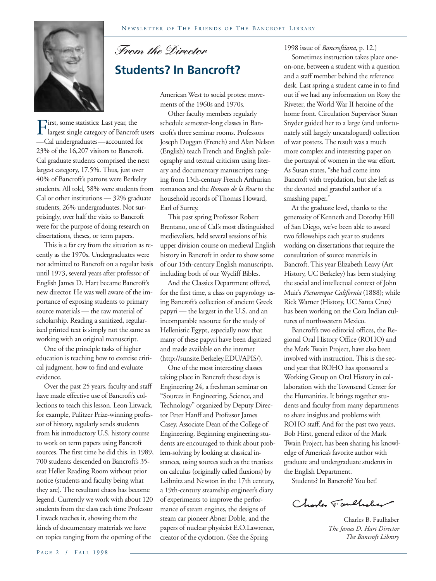

## *From the Director* **Students? In Bancroft?**

American West to social protest movements of the 1960s and 1970s.

Other faculty members regularly schedule semester-long classes in Bancroft's three seminar rooms. Professors Joseph Duggan (French) and Alan Nelson (English) teach French and English paleography and textual criticism using literary and documentary manuscripts ranging from 13th-century French Arthurian romances and the *Roman de la Rose* to the household records of Thomas Howard, Earl of Surrey.

This past spring Professor Robert Brentano, one of Cal's most distinguished medievalists, held several sessions of his upper division course on medieval English history in Bancroft in order to show some of our 15th-century English manuscripts, including both of our Wycliff Bibles.

And the Classics Department offered, for the first time, a class on papyrology using Bancroft's collection of ancient Greek papyri — the largest in the U.S. and an incomparable resource for the study of Hellenistic Egypt, especially now that many of these papyri have been digitized and made available on the internet (http://sunsite.Berkeley.EDU/APIS/).

One of the most interesting classes taking place in Bancroft these days is Engineering 24, a freshman seminar on "Sources in Engineering, Science, and Technology" organized by Deputy Director Peter Hanff and Professor James Casey, Associate Dean of the College of Engineering. Beginning engineering students are encouraged to think about problem-solving by looking at classical instances, using sources such as the treatises on calculus (originally called fluxions) by Leibnitz and Newton in the 17th century, a 19th-century steamship engineer's diary of experiments to improve the performance of steam engines, the designs of steam car pioneer Abner Doble, and the papers of nuclear physicist E.O.Lawrence, creator of the cyclotron. (See the Spring

#### 1998 issue of *Bancroftiana*, p. 12.)

Sometimes instruction takes place oneon-one, between a student with a question and a staff member behind the reference desk. Last spring a student came in to find out if we had any information on Rosy the Riveter, the World War II heroine of the home front. Circulation Supervisor Susan Snyder guided her to a large (and unfortunately still largely uncatalogued) collection of war posters. The result was a much more complex and interesting paper on the portrayal of women in the war effort. As Susan states, "she had come into Bancroft with trepidation, but she left as the devoted and grateful author of a smashing paper."

At the graduate level, thanks to the generosity of Kenneth and Dorothy Hill of San Diego, we've been able to award two fellowships each year to students working on dissertations that require the consultation of source materials in Bancroft. This year Elizabeth Leavy (Art History, UC Berkeley) has been studying the social and intellectual context of John Muir's *Picturesque California* (1888); while Rick Warner (History, UC Santa Cruz) has been working on the Cora Indian cultures of northwestern Mexico.

Bancroft's two editorial offices, the Regional Oral History Office (ROHO) and the Mark Twain Project, have also been involved with instruction. This is the second year that ROHO has sponsored a Working Group on Oral History in collaboration with the Townsend Center for the Humanities. It brings together students and faculty from many departments to share insights and problems with ROHO staff. And for the past two years, Bob Hirst, general editor of the Mark Twain Project, has been sharing his knowledge of America's favorite author with graduate and undergraduate students in the English Department.

Students? In Bancroft? You bet!

Charles T. aulhaber

Charles B. Faulhaber *The James D. Hart Director The Bancroft Library*

First, some statistics: Last year, the<br>largest single category of Bancrof<br>—Cal undergraduates—accounted t largest single category of Bancroft users —Cal undergraduates—accounted for 23% of the 16,207 visitors to Bancroft. Cal graduate students comprised the next largest category, 17.5%. Thus, just over 40% of Bancroft's patrons were Berkeley students. All told, 58% were students from Cal or other institutions — 32% graduate students, 26% undergraduates. Not surprisingly, over half the visits to Bancroft were for the purpose of doing research on dissertations, theses, or term papers.

This is a far cry from the situation as recently as the 1970s. Undergraduates were not admitted to Bancroft on a regular basis until 1973, several years after professor of English James D. Hart became Bancroft's new director. He was well aware of the importance of exposing students to primary source materials — the raw material of scholarship. Reading a sanitized, regularized printed text is simply not the same as working with an original manuscript.

One of the principle tasks of higher education is teaching how to exercise critical judgment, how to find and evaluate evidence.

Over the past 25 years, faculty and staff have made effective use of Bancroft's collections to teach this lesson. Leon Litwack, for example, Pulitzer Prize-winning professor of history, regularly sends students from his introductory U.S. history course to work on term papers using Bancroft sources. The first time he did this, in 1989, 700 students descended on Bancroft's 35 seat Heller Reading Room without prior notice (students and faculty being what they are). The resultant chaos has become legend. Currently we work with about 120 students from the class each time Professor Litwack teaches it, showing them the kinds of documentary materials we have on topics ranging from the opening of the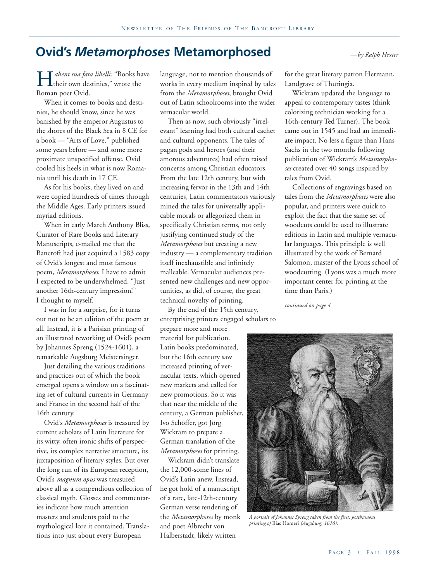### **Ovid's** *Metamorphoses* **Metamorphosed** *—by Ralph Hexter*

*Abent sua fata libelli:* "Books have<br>their own destinies," wrote the<br>Roman poet Ovid their own destinies," wrote the Roman poet Ovid.

When it comes to books and destinies, he should know, since he was banished by the emperor Augustus to the shores of the Black Sea in 8 CE for a book — "Arts of Love," published some years before — and some more proximate unspecified offense. Ovid cooled his heels in what is now Romania until his death in 17 CE.

As for his books, they lived on and were copied hundreds of times through the Middle Ages. Early printers issued myriad editions.

When in early March Anthony Bliss, Curator of Rare Books and Literary Manuscripts, e-mailed me that the Bancroft had just acquired a 1583 copy of Ovid's longest and most famous poem, *Metamorphoses*, I have to admit I expected to be underwhelmed. "Just another 16th-century impression!" I thought to myself.

I was in for a surprise, for it turns out not to be an edition of the poem at all. Instead, it is a Parisian printing of an illustrated reworking of Ovid's poem by Johannes Spreng (1524-1601), a remarkable Augsburg Meistersinger.

Just detailing the various traditions and practices out of which the book emerged opens a window on a fascinating set of cultural currents in Germany and France in the second half of the 16th century.

Ovid's *Metamorphoses* is treasured by current scholars of Latin literature for its witty, often ironic shifts of perspective, its complex narrative structure, its juxtaposition of literary styles. But over the long run of its European reception, Ovid's *magnum opus* was treasured above all as a compendious collection of classical myth. Glosses and commentaries indicate how much attention masters and students paid to the mythological lore it contained. Translations into just about every European

language, not to mention thousands of works in every medium inspired by tales from the *Metamorphoses*, brought Ovid out of Latin schoolrooms into the wider vernacular world.

Then as now, such obviously "irrelevant" learning had both cultural cachet and cultural opponents. The tales of pagan gods and heroes (and their amorous adventures) had often raised concerns among Christian educators. From the late 12th century, but with increasing fervor in the 13th and 14th centuries, Latin commentators variously mined the tales for universally applicable morals or allegorized them in specifically Christian terms, not only justifying continued study of the *Metamorphoses* but creating a new industry — a complementary tradition itself inexhaustible and infinitely malleable. Vernacular audiences presented new challenges and new opportunities, as did, of course, the great technical novelty of printing.

By the end of the 15th century, enterprising printers engaged scholars to

prepare more and more material for publication. Latin books predominated, but the 16th century saw increased printing of vernacular texts, which opened new markets and called for new promotions. So it was that near the middle of the century, a German publisher, Ivo Schöffer, got Jörg Wickram to prepare a German translation of the *Metamorphoses* for printing.

Wickram didn't translate the 12,000-some lines of Ovid's Latin anew. Instead, he got hold of a manuscript of a rare, late-12th-century German verse rendering of the *Metamorphoses* by monk and poet Albrecht von Halberstadt, likely written

for the great literary patron Hermann, Landgrave of Thuringia.

Wickram updated the language to appeal to contemporary tastes (think colorizing technician working for a 16th-century Ted Turner). The book came out in 1545 and had an immediate impact. No less a figure than Hans Sachs in the two months following publication of Wickram's *Metamorphoses* created over 40 songs inspired by tales from Ovid.

Collections of engravings based on tales from the *Metamorphoses* were also popular, and printers were quick to exploit the fact that the same set of woodcuts could be used to illustrate editions in Latin and multiple vernacular languages. This principle is well illustrated by the work of Bernard Salomon, master of the Lyons school of woodcutting. (Lyons was a much more important center for printing at the time than Paris.)

*continued on page 4*



*A portrait of Johannes Spreng taken from the first, posthumous printing of* Ilias Homeri *(Augsburg, 1610).*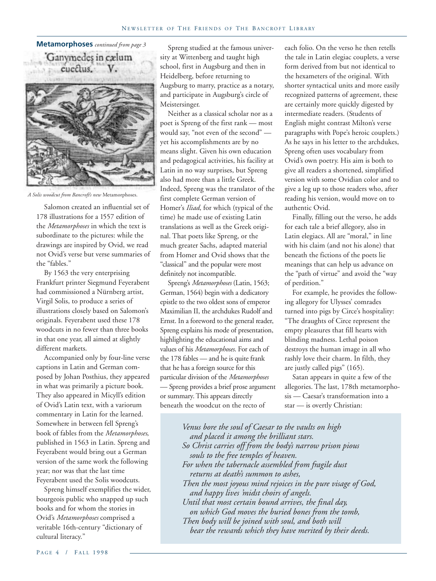

*A Solis woodcut from Bancroft's new* Metamorphoses.

Salomon created an influential set of 178 illustrations for a 1557 edition of the *Metamorphoses* in which the text is subordinate to the pictures: while the drawings are inspired by Ovid, we read not Ovid's verse but verse summaries of the "fables."

By 1563 the very enterprising Frankfurt printer Siegmund Feyerabent had commissioned a Nürnberg artist, Virgil Solis, to produce a series of illustrations closely based on Salomon's originals. Feyerabent used these 178 woodcuts in no fewer than three books in that one year, all aimed at slightly different markets.

Accompanied only by four-line verse captions in Latin and German composed by Johan Posthius, they appeared in what was primarily a picture book. They also appeared in Micyll's edition of Ovid's Latin text, with a variorum commentary in Latin for the learned. Somewhere in between fell Spreng's book of fables from the *Metamorphoses*, published in 1563 in Latin. Spreng and Feyerabent would bring out a German version of the same work the following year; nor was that the last time Feyerabent used the Solis woodcuts.

Spreng himself exemplifies the wider, bourgeois public who snapped up such books and for whom the stories in Ovid's *Metamorphoses* comprised a veritable 16th-century "dictionary of cultural literacy."

Spreng studied at the famous university at Wittenberg and taught high school, first in Augsburg and then in Heidelberg, before returning to Augsburg to marry, practice as a notary, and participate in Augsburg's circle of Meistersinger.

Neither as a classical scholar nor as a poet is Spreng of the first rank — most would say, "not even of the second" yet his accomplishments are by no means slight. Given his own education and pedagogical activities, his facility at Latin in no way surprises, but Spreng also had more than a little Greek. Indeed, Spreng was the translator of the first complete German version of Homer's *Iliad*, for which (typical of the time) he made use of existing Latin translations as well as the Greek original. That poets like Spreng, or the much greater Sachs, adapted material from Homer and Ovid shows that the "classical" and the popular were most definitely not incompatible.

Spreng's *Metamorphoses* (Latin, 1563; German, 1564) begin with a dedicatory epistle to the two oldest sons of emperor Maximilian II, the archdukes Rudolf and Ernst. In a foreword to the general reader, Spreng explains his mode of presentation, highlighting the educational aims and values of his *Metamorphoses*. For each of the 178 fables — and he is quite frank that he has a foreign source for this particular division of the *Metamorphoses* — Spreng provides a brief prose argument or summary. This appears directly beneath the woodcut on the recto of

each folio. On the verso he then retells the tale in Latin elegiac couplets, a verse form derived from but not identical to the hexameters of the original. With shorter syntactical units and more easily recognized patterns of agreement, these are certainly more quickly digested by intermediate readers. (Students of English might contrast Milton's verse paragraphs with Pope's heroic couplets.) As he says in his letter to the archdukes, Spreng often uses vocabulary from Ovid's own poetry. His aim is both to give all readers a shortened, simplified version with some Ovidian color and to give a leg up to those readers who, after reading his version, would move on to authentic Ovid.

Finally, filling out the verso, he adds for each tale a brief allegory, also in Latin elegiacs. All are "moral," in line with his claim (and not his alone) that beneath the fictions of the poets lie meanings that can help us advance on the "path of virtue" and avoid the "way of perdition."

For example, he provides the following allegory for Ulysses' comrades turned into pigs by Circe's hospitality: "The draughts of Circe represent the empty pleasures that fill hearts with blinding madness. Lethal poison destroys the human image in all who rashly love their charm. In filth, they are justly called pigs" (165).

Satan appears in quite a few of the allegories. The last, 178th metamorphosis — Caesar's transformation into a star — is overtly Christian:

*Venus bore the soul of Caesar to the vaults on high and placed it among the brilliant stars. So Christ carries off from the body's narrow prison pious souls to the free temples of heaven. For when the tabernacle assembled from fragile dust returns at death's summon to ashes, Then the most joyous mind rejoices in the pure visage of God, and happy lives 'midst choirs of angels. Until that most certain bound arrives, the final day, on which God moves the buried bones from the tomb, Then body will be joined with soul, and both will bear the rewards which they have merited by their deeds.*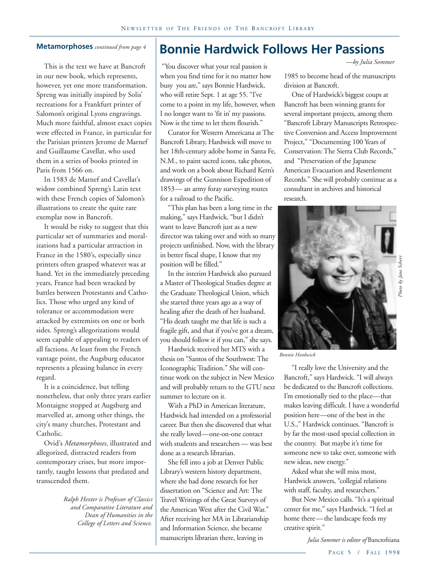#### **Metamorphoses** *continued from page 4*

This is the text we have at Bancroft in our new book, which represents, however, yet one more transformation. Spreng was initially inspired by Solis' recreations for a Frankfurt printer of Salomon's original Lyons engravings. Much more faithful, almost exact copies were effected in France, in particular for the Parisian printers Jerome de Marnef and Guillaume Cavellat, who used them in a series of books printed in Paris from 1566 on.

In 1583 de Marnef and Cavellat's widow combined Spreng's Latin text with these French copies of Salomon's illustrations to create the quite rare exemplar now in Bancroft.

It would be risky to suggest that this particular set of summaries and moralizations had a particular attraction in France in the 1580's, especially since printers often grasped whatever was at hand. Yet in the immediately preceding years, France had been wracked by battles between Protestants and Catholics. Those who urged any kind of tolerance or accommodation were attacked by extremists on one or both sides. Spreng's allegorizations would seem capable of appealing to readers of all factions. At least from the French vantage point, the Augsburg educator represents a pleasing balance in every regard.

It is a coincidence, but telling nonetheless, that only three years earlier Montaigne stopped at Augsburg and marvelled at, among other things, the city's many churches, Protestant and Catholic.

Ovid's *Metamorphoses*, illustrated and allegorized, distracted readers from contemporary crises, but more importantly, taught lessons that predated and transcended them.

> *Ralph Hexter is Professor of Classics and Comparative Literature and Dean of Humanities in the College of Letters and Science.*

## **Bonnie Hardwick Follows Her Passions**

 "You discover what your real passion is when you find time for it no matter how busy you are," says Bonnie Hardwick, who will retire Sept. 1 at age 55. "I've come to a point in my life, however, when I no longer want to 'fit in' my passions. Now is the time to let them flourish."

Curator for Western Americana at The Bancroft Library, Hardwick will move to her 18th-century adobe home in Santa Fe, N.M., to paint sacred icons, take photos, and work on a book about Richard Kern's drawings of the Gunnison Expedition of 1853— an army foray surveying routes for a railroad to the Pacific.

"This plan has been a long time in the making," says Hardwick, "but I didn't want to leave Bancroft just as a new director was taking over and with so many projects unfinished. Now, with the library in better fiscal shape, I know that my position will be filled."

In the interim Hardwick also pursued a Master of Theological Studies degree at the Graduate Theological Union, which she started three years ago as a way of healing after the death of her husband. "His death taught me that life is such a fragile gift, and that if you've got a dream, you should follow it if you can," she says.

Hardwick received her MTS with a thesis on "Santos of the Southwest: The Iconographic Tradition." She will continue work on the subject in New Mexico and will probably return to the GTU next summer to lecture on it.

With a PhD in American literature, Hardwick had intended on a professorial career. But then she discovered that what she really loved—one-on-one contact with students and researchers — was best done as a research librarian.

She fell into a job at Denver Public Library's western history department, where she had done research for her dissertation on "Science and Art: The Travel Writings of the Great Surveys of the American West after the Civil War." After receiving her MA in Librarianship and Information Science, she became manuscripts librarian there, leaving in

*—by Julia Sommer*

1985 to become head of the manuscripts division at Bancroft.

One of Hardwick's biggest coups at Bancroft has been winning grants for several important projects, among them "Bancroft Library Manuscripts Retrospective Conversion and Access Improvement Project," "Documenting 100 Years of Conservation: The Sierra Club Records," and "Preservation of the Japanese American Evacuation and Resettlement Records." She will probably continue as a consultant in archives and historical research.



*Bonnie Hardwick*

"I really love the University and the Bancroft," says Hardwick. "I will always be dedicated to the Bancroft collections. I'm emotionally tied to the place—that makes leaving difficult. I have a wonderful position here—one of the best in the U.S.," Hardwick continues. "Bancroft is by far the most-used special collection in the country. But maybe it's time for someone new to take over, someone with new ideas, new energy." *Julia Sommer is editor of Bancroftian*<br>*Julia Sommer is editor* of *Photo by Says Hardwick*. "I will always<br>ated to the Bancroft collections.<br>tionally tied to the place—that<br>aving difficult. I have a wonderful<br>here—one of

Asked what she will miss most, Hardwick answers, "collegial relations with staff, faculty, and researchers."

But New Mexico calls. "It's a spiritual center for me," says Hardwick. "I feel at home there—the landscape feeds my creative spirit."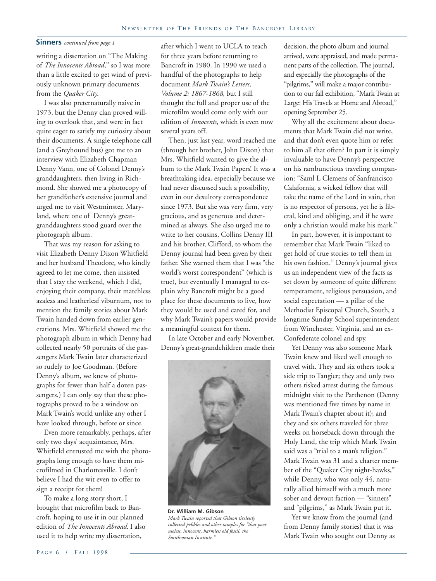#### **Sinners** *continued from page 1*

writing a dissertation on "The Making of *The Innocents Abroad*," so I was more than a little excited to get wind of previously unknown primary documents from the *Quaker City*.

I was also preternaturally naive in 1973, but the Denny clan proved willing to overlook that, and were in fact quite eager to satisfy my curiosity about their documents. A single telephone call (and a Greyhound bus) got me to an interview with Elizabeth Chapman Denny Vann, one of Colonel Denny's granddaughters, then living in Richmond. She showed me a photocopy of her grandfather's extensive journal and urged me to visit Westminster, Maryland, where one of Denny's greatgranddaughters stood guard over the photograph album.

That was my reason for asking to visit Elizabeth Denny Dixon Whitfield and her husband Theodore, who kindly agreed to let me come, then insisted that I stay the weekend, which I did, enjoying their company, their matchless azaleas and leatherleaf viburnum, not to mention the family stories about Mark Twain handed down from earlier generations. Mrs. Whitfield showed me the photograph album in which Denny had collected nearly 50 portraits of the passengers Mark Twain later characterized so rudely to Joe Goodman. (Before Denny's album, we knew of photographs for fewer than half a dozen passengers.) I can only say that these photographs proved to be a window on Mark Twain's world unlike any other I have looked through, before or since.

Even more remarkably, perhaps, after only two days' acquaintance, Mrs. Whitfield entrusted me with the photographs long enough to have them microfilmed in Charlottesville. I don't believe I had the wit even to offer to sign a receipt for them!

To make a long story short, I brought that microfilm back to Bancroft, hoping to use it in our planned edition of *The Innocents Abroad*. I also used it to help write my dissertation,

after which I went to UCLA to teach for three years before returning to Bancroft in 1980. In 1990 we used a handful of the photographs to help document *Mark Twain's Letters, Volume 2: 1867-1868*, but I still thought the full and proper use of the microfilm would come only with our edition of *Innocents*, which is even now several years off.

Then, just last year, word reached me (through her brother, John Dixon) that Mrs. Whitfield wanted to give the album to the Mark Twain Papers! It was a breathtaking idea, especially because we had never discussed such a possibility, even in our desultory correspondence since 1973. But she was very firm, very gracious, and as generous and determined as always. She also urged me to write to her cousins, Collins Denny III and his brother, Clifford, to whom the Denny journal had been given by their father. She warned them that I was "the world's worst correspondent" (which is true), but eventually I managed to explain why Bancroft might be a good place for these documents to live, how they would be used and cared for, and why Mark Twain's papers would provide a meaningful context for them.

In late October and early November, Denny's great-grandchildren made their



**Dr. William M. Gibson** *Mark Twain reported that Gibson tirelessly collected pebbles and other samples for "that poor useless, innocent, harmless old fossil, the Smithsonian Institute."*

decision, the photo album and journal arrived, were appraised, and made permanent parts of the collection. The journal, and especially the photographs of the "pilgrims," will make a major contribution to our fall exhibition, "Mark Twain at Large: His Travels at Home and Abroad," opening September 25.

Why all the excitement about documents that Mark Twain did not write, and that don't even quote him or refer to him all that often? In part it is simply invaluable to have Denny's perspective on his rambunctious traveling companion: "Saml L Clemens of Sanfrancisco Calafornia, a wicked fellow that will take the name of the Lord in vain, that is no respector of persons, yet he is liberal, kind and obliging, and if he were only a christian would make his mark."

In part, however, it is important to remember that Mark Twain "liked to get hold of true stories to tell them in his own fashion." Denny's journal gives us an independent view of the facts as set down by someone of quite different temperament, religious persuasion, and social expectation — a pillar of the Methodist Episcopal Church, South, a longtime Sunday School superintendent from Winchester, Virginia, and an ex-Confederate colonel and spy.

Yet Denny was also someone Mark Twain knew and liked well enough to travel with. They and six others took a side trip to Tangier; they and only two others risked arrest during the famous midnight visit to the Parthenon (Denny was mentioned five times by name in Mark Twain's chapter about it); and they and six others traveled for three weeks on horseback down through the Holy Land, the trip which Mark Twain said was a "trial to a man's religion." Mark Twain was 31 and a charter member of the "Quaker City night-hawks," while Denny, who was only 44, naturally allied himself with a much more sober and devout faction — "sinners" and "pilgrims," as Mark Twain put it.

Yet we know from the journal (and from Denny family stories) that it was Mark Twain who sought out Denny as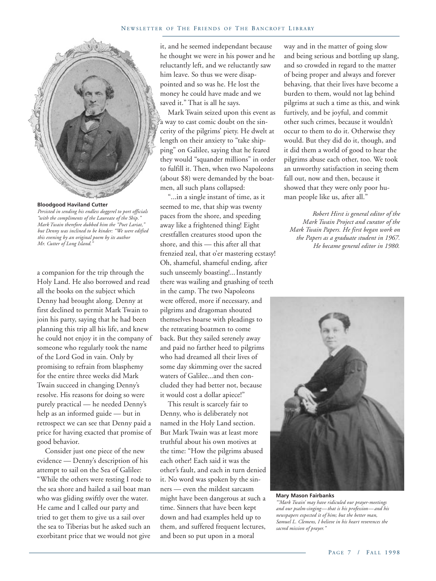

**Bloodgood Haviland Cutter** *Persisted in sending his endless doggerel to port officials "with the compliments of the Laureate of the Ship." Mark Twain therefore dubbed him the "Poet Lariat," but Denny was inclined to be kinder: "We were edified this evening by an original poem by its author Mr. Cutter of Long Island."*

a companion for the trip through the Holy Land. He also borrowed and read all the books on the subject which Denny had brought along. Denny at first declined to permit Mark Twain to join his party, saying that he had been planning this trip all his life, and knew he could not enjoy it in the company of someone who regularly took the name of the Lord God in vain. Only by promising to refrain from blasphemy for the entire three weeks did Mark Twain succeed in changing Denny's resolve. His reasons for doing so were purely practical — he needed Denny's help as an informed guide — but in retrospect we can see that Denny paid a price for having exacted that promise of good behavior.

Consider just one piece of the new evidence — Denny's description of his attempt to sail on the Sea of Galilee: "While the others were resting I rode to the sea shore and hailed a sail boat man who was gliding swiftly over the water. He came and I called our party and tried to get them to give us a sail over the sea to Tiberias but he asked such an exorbitant price that we would not give it, and he seemed independant because he thought we were in his power and he reluctantly left, and we reluctantly saw him leave. So thus we were disappointed and so was he. He lost the money he could have made and we saved it." That is all he says.

Mark Twain seized upon this event as a way to cast comic doubt on the sincerity of the pilgrims' piety. He dwelt at length on their anxiety to "take shipping" on Galilee, saying that he feared they would "squander millions" in order to fulfill it. Then, when two Napoleons (about \$8) were demanded by the boatmen, all such plans collapsed:

"...in a single instant of time, as it seemed to me, that ship was twenty paces from the shore, and speeding away like a frightened thing! Eight crestfallen creatures stood upon the shore, and this — this after all that frenzied zeal, that o'er mastering ecstasy! Oh, shameful, shameful ending, after such unseemly boasting!...Instantly there was wailing and gnashing of teeth in the camp. The two Napoleons were offered, more if necessary, and pilgrims and dragoman shouted themselves hoarse with pleadings to the retreating boatmen to come back. But they sailed serenely away and paid no farther heed to pilgrims who had dreamed all their lives of some day skimming over the sacred waters of Galilee...and then concluded they had better not, because it would cost a dollar apiece!"

This result is scarcely fair to Denny, who is deliberately not named in the Holy Land section. But Mark Twain was at least more truthful about his own motives at the time: "How the pilgrims abused each other! Each said it was the other's fault, and each in turn denied it. No word was spoken by the sinners — even the mildest sarcasm might have been dangerous at such a time. Sinners that have been kept down and had examples held up to them, and suffered frequent lectures, and been so put upon in a moral

way and in the matter of going slow and being serious and bottling up slang, and so crowded in regard to the matter of being proper and always and forever behaving, that their lives have become a burden to them, would not lag behind pilgrims at such a time as this, and wink furtively, and be joyful, and commit other such crimes, because it wouldn't occur to them to do it. Otherwise they would. But they did do it, though, and it did them a world of good to hear the pilgrims abuse each other, too. We took an unworthy satisfaction in seeing them fall out, now and then, because it showed that they were only poor human people like us, after all."

*Robert Hirst is general editor of the Mark Twain Project and curator of the Mark Twain Papers. He first began work on the Papers as a graduate student in 1967. He became general editor in 1980.*



**Mary Mason Fairbanks** *"'Mark Twain' may have ridiculed our prayer-meetings and our psalm-singing— that is his profession— and his newspapers expected it of him; but the better man, Samuel L. Clemens, I believe in his heart reverences the sacred mission of prayer."*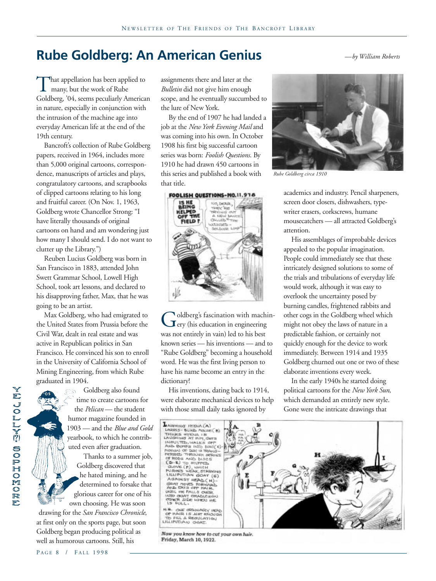## **Rube Goldberg: An American Genius** *—by William Roberts*

That appellation has been applied to<br>many, but the work of Rube<br>Goldberg. '04. seems peculiarly America many, but the work of Rube Goldberg, '04, seems peculiarly American in nature, especially in conjunction with the intrusion of the machine age into everyday American life at the end of the 19th century.

Bancroft's collection of Rube Goldberg papers, received in 1964, includes more than 5,000 original cartoons, correspondence, manuscripts of articles and plays, congratulatory cartoons, and scrapbooks of clipped cartoons relating to his long and fruitful career. (On Nov. 1, 1963, Goldberg wrote Chancellor Strong: "I have literally thousands of original cartoons on hand and am wondering just how many I should send. I do not want to clutter up the Library.")

Reuben Lucius Goldberg was born in San Francisco in 1883, attended John Swett Grammar School, Lowell High School, took art lessons, and declared to his disapproving father, Max, that he was going to be an artist.

Max Goldberg, who had emigrated to the United States from Prussia before the Civil War, dealt in real estate and was active in Republican politics in San Francisco. He convinced his son to enroll in the University of California School of Mining Engineering, from which Rube graduated in 1904.

Goldberg also found æs. time to create cartoons for the *Pelican* — the student humor magazine founded in 1903 — and the *Blue and Gold* yearbook, to which he contributed even after graduation.

Thanks to a summer job, Goldberg discovered that he hated mining, and he determined to forsake that glorious career for one of his own choosing. He was soon

drawing for the *San Francisco Chronicle*, at first only on the sports page, but soon Goldberg began producing political as well as humorous cartoons. Still, his

assignments there and later at the *Bulletin* did not give him enough scope, and he eventually succumbed to the lure of New York.

By the end of 1907 he had landed a job at the *New York Evening Mail* and was coming into his own. In October 1908 his first big successful cartoon series was born: *Foolish Questions*. By 1910 he had drawn 450 cartoons in this series and published a book with that title.



Goldberg's fascination with machin-<br>Gery (his education in engineering<br>was not entirely in vain) led to his best ery (his education in engineering was not entirely in vain) led to his best known series — his inventions — and to "Rube Goldberg" becoming a household word. He was the first living person to have his name become an entry in the dictionary!

His inventions, dating back to 1914, were elaborate mechanical devices to help with those small daily tasks ignored by



*Rube Goldberg circa 1910*

academics and industry. Pencil sharpeners, screen door closers, dishwashers, typewriter erasers, corkscrews, humane mousecatchers — all attracted Goldberg's attention.

His assemblages of improbable devices appealed to the popular imagination. People could immediately see that these intricately designed solutions to some of the trials and tribulations of everyday life would work, although it was easy to overlook the uncertainty posed by burning candles, frightened rabbits and other cogs in the Goldberg wheel which might not obey the laws of nature in a predictable fashion, or certainly not quickly enough for the device to work immediately. Between 1914 and 1935 Goldberg churned out one or two of these elaborate inventions every week.

In the early 1940s he started doing political cartoons for the *New York Sun*, which demanded an entirely new style. Gone were the intricate drawings that



Now you know how to cut your own hair. Friday, March 10, 1922.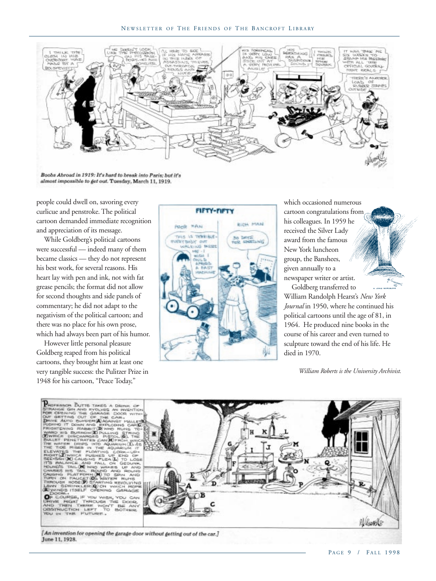

Boobs Abroad in 1919: It's hard to break into Paris; but it's almost impossible to get out. Tuesday, March 11, 1919.

people could dwell on, savoring every curlicue and penstroke. The political cartoon demanded immediate recognition and appreciation of its message.

While Goldberg's political cartoons were successful — indeed many of them became classics — they do not represent his best work, for several reasons. His heart lay with pen and ink, not with fat grease pencils; the format did not allow for second thoughts and side panels of commentary; he did not adapt to the negativism of the political cartoon; and there was no place for his own prose, which had always been part of his humor.

However little personal pleasure Goldberg reaped from his political cartoons, they brought him at least one very tangible success: the Pulitzer Prize in 1948 for his cartoon, "Peace Today,"



which occasioned numerous cartoon congratulations from his colleagues. In 1959 he received the Silver Lady award from the famous New York luncheon group, the Banshees, given annually to a newspaper writer or artist.

Goldberg transferred to William Randolph Hearst's *New York Journal* in 1950, where he continued his political cartoons until the age of 81, in 1964. He produced nine books in the course of his career and even turned to sculpture toward the end of his life. He died in 1970.

*William Roberts is the University Archivist.*



[An invention for opening the garage door without getting out of the car.] June 11, 1928.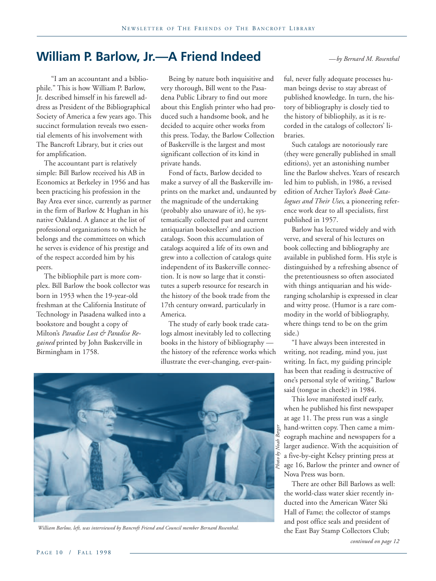## **William P. Barlow, Jr.—A Friend Indeed**

"I am an accountant and a bibliophile." This is how William P. Barlow, Jr. described himself in his farewell address as President of the Bibliographical Society of America a few years ago. This succinct formulation reveals two essential elements of his involvement with The Bancroft Library, but it cries out for amplification.

The accountant part is relatively simple: Bill Barlow received his AB in Economics at Berkeley in 1956 and has been practicing his profession in the Bay Area ever since, currently as partner in the firm of Barlow & Hughan in his native Oakland. A glance at the list of professional organizations to which he belongs and the committees on which he serves is evidence of his prestige and of the respect accorded him by his peers.

The bibliophile part is more complex. Bill Barlow the book collector was born in 1953 when the 19-year-old freshman at the California Institute of Technology in Pasadena walked into a bookstore and bought a copy of Milton's *Paradise Lost & Paradise Regained* printed by John Baskerville in Birmingham in 1758.

Being by nature both inquisitive and very thorough, Bill went to the Pasadena Public Library to find out more about this English printer who had produced such a handsome book, and he decided to acquire other works from this press. Today, the Barlow Collection of Baskerville is the largest and most significant collection of its kind in private hands.

Fond of facts, Barlow decided to make a survey of all the Baskerville imprints on the market and, undaunted by the magnitude of the undertaking (probably also unaware of it), he systematically collected past and current antiquarian booksellers' and auction catalogs. Soon this accumulation of catalogs acquired a life of its own and grew into a collection of catalogs quite independent of its Baskerville connection. It is now so large that it constitutes a superb resource for research in the history of the book trade from the 17th century onward, particularly in America.

The study of early book trade catalogs almost inevitably led to collecting books in the history of bibliography the history of the reference works which illustrate the ever-changing, ever-pain-



William Barlow, left, was interviewed by Bancroft Friend and Council member Bernard Rosenthal.<br> **the East Bay Stamp Collectors Club**;

*—by Bernard M. Rosenthal*

ful, never fully adequate processes human beings devise to stay abreast of published knowledge. In turn, the history of bibliography is closely tied to the history of bibliophily, as it is recorded in the catalogs of collectors' libraries.

Such catalogs are notoriously rare (they were generally published in small editions), yet an astonishing number line the Barlow shelves. Years of research led him to publish, in 1986, a revised edition of Archer Taylor's *Book Catalogues and Their Uses*, a pioneering reference work dear to all specialists, first published in 1957.

Barlow has lectured widely and with verve, and several of his lectures on book collecting and bibliography are available in published form. His style is distinguished by a refreshing absence of the pretentiousness so often associated with things antiquarian and his wideranging scholarship is expressed in clear and witty prose. (Humor is a rare commodity in the world of bibliography, where things tend to be on the grim side.)

"I have always been interested in writing, not reading, mind you, just writing. In fact, my guiding principle has been that reading is destructive of one's personal style of writing," Barlow said (tongue in cheek?) in 1984.

This love manifested itself early, when he published his first newspaper at age 11. The press run was a single hand-written copy. Then came a mimeograph machine and newspapers for a larger audience. With the acquisition of a five-by-eight Kelsey printing press at age 16, Barlow the printer and owner of Nova Press was born.

There are other Bill Barlows as well: the world-class water skier recently inducted into the American Water Ski Hall of Fame; the collector of stamps and post office seals and president of

*continued on page 12*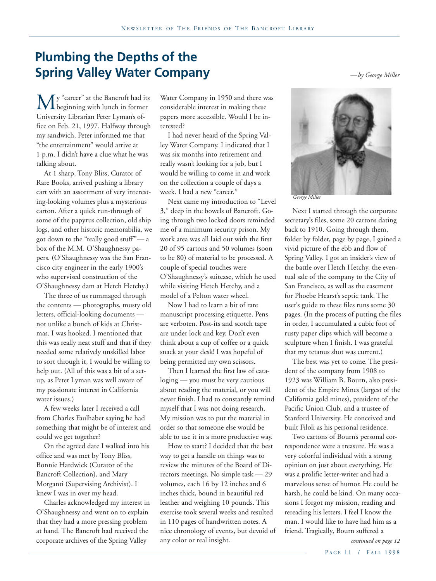## **Plumbing the Depths of the Spring Valley Water Company** *—by George Miller*

**M** y "career" at the Bancroft had its<br>University Librarian Peter Lyman's ofbeginning with lunch in former University Librarian Peter Lyman's office on Feb. 21, 1997. Halfway through my sandwich, Peter informed me that "the entertainment" would arrive at 1 p.m. I didn't have a clue what he was talking about.

At 1 sharp, Tony Bliss, Curator of Rare Books, arrived pushing a library cart with an assortment of very interesting-looking volumes plus a mysterious carton. After a quick run-through of some of the papyrus collection, old ship logs, and other historic memorabilia, we got down to the "really good stuff"— a box of the M.M. O'Shaughnessy papers. (O'Shaughnessy was the San Francisco city engineer in the early 1900's who supervised construction of the O'Shaughnessy dam at Hetch Hetchy.)

The three of us rummaged through the contents — photographs, musty old letters, official-looking documents not unlike a bunch of kids at Christmas. I was hooked. I mentioned that this was really neat stuff and that if they needed some relatively unskilled labor to sort through it, I would be willing to help out. (All of this was a bit of a setup, as Peter Lyman was well aware of my passionate interest in California water issues.)

A few weeks later I received a call from Charles Faulhaber saying he had something that might be of interest and could we get together?

On the agreed date I walked into his office and was met by Tony Bliss, Bonnie Hardwick (Curator of the Bancroft Collection), and Mary Morganti (Supervising Archivist). I knew I was in over my head.

Charles acknowledged my interest in O'Shaughnessy and went on to explain that they had a more pressing problem at hand. The Bancroft had received the corporate archives of the Spring Valley

Water Company in 1950 and there was considerable interest in making these papers more accessible. Would I be interested?

I had never heard of the Spring Valley Water Company. I indicated that I was six months into retirement and really wasn't looking for a job, but I would be willing to come in and work on the collection a couple of days a week. I had a new "career."

Next came my introduction to "Level 3," deep in the bowels of Bancroft. Going through two locked doors reminded me of a minimum security prison. My work area was all laid out with the first 20 of 95 cartons and 50 volumes (soon to be 80) of material to be processed. A couple of special touches were O'Shaughnessy's suitcase, which he used while visiting Hetch Hetchy, and a model of a Pelton water wheel.

Now I had to learn a bit of rare manuscript processing etiquette. Pens are verboten. Post-its and scotch tape are under lock and key. Don't even think about a cup of coffee or a quick snack at your desk! I was hopeful of being permitted my own scissors.

Then I learned the first law of cataloging — you must be very cautious about reading the material, or you will never finish. I had to constantly remind myself that I was not doing research. My mission was to put the material in order so that someone else would be able to use it in a more productive way.

How to start? I decided that the best way to get a handle on things was to review the minutes of the Board of Directors meetings. No simple task — 29 volumes, each 16 by 12 inches and 6 inches thick, bound in beautiful red leather and weighing 10 pounds. This exercise took several weeks and resulted in 110 pages of handwritten notes. A nice chronology of events, but devoid of any color or real insight.



*George Miller*

Next I started through the corporate secretary's files, some 20 cartons dating back to 1910. Going through them, folder by folder, page by page, I gained a vivid picture of the ebb and flow of Spring Valley. I got an insider's view of the battle over Hetch Hetchy, the eventual sale of the company to the City of San Francisco, as well as the easement for Phoebe Hearst's septic tank. The user's guide to these files runs some 30 pages. (In the process of putting the files in order, I accumulated a cubic foot of rusty paper clips which will become a sculpture when I finish. I was grateful that my tetanus shot was current.)

The best was yet to come. The president of the company from 1908 to 1923 was William B. Bourn, also president of the Empire Mines (largest of the California gold mines), president of the Pacific Union Club, and a trustee of Stanford University. He conceived and built Filoli as his personal residence.

Two cartons of Bourn's personal correspondence were a treasure. He was a very colorful individual with a strong opinion on just about everything. He was a prolific letter-writer and had a marvelous sense of humor. He could be harsh, he could be kind. On many occasions I forgot my mission, reading and rereading his letters. I feel I know the man. I would like to have had him as a friend. Tragically, Bourn suffered a

*continued on page 12*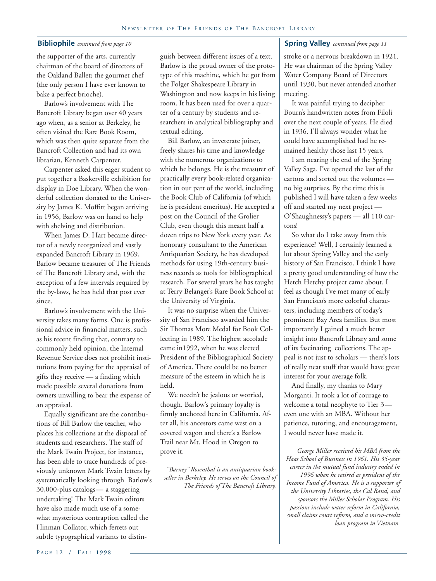#### **Bibliophile** *continued from page 10*

the supporter of the arts, currently chairman of the board of directors of the Oakland Ballet; the gourmet chef (the only person I have ever known to bake a perfect brioche).

Barlow's involvement with The Bancroft Library began over 40 years ago when, as a senior at Berkeley, he often visited the Rare Book Room, which was then quite separate from the Bancroft Collection and had its own librarian, Kenneth Carpenter.

Carpenter asked this eager student to put together a Baskerville exhibition for display in Doe Library. When the wonderful collection donated to the University by James K. Moffitt began arriving in 1956, Barlow was on hand to help with shelving and distribution.

When James D. Hart became director of a newly reorganized and vastly expanded Bancroft Library in 1969, Barlow became treasurer of The Friends of The Bancroft Library and, with the exception of a few intervals required by the by-laws, he has held that post ever since.

Barlow's involvement with the University takes many forms. One is professional advice in financial matters, such as his recent finding that, contrary to commonly held opinion, the Internal Revenue Service does not prohibit institutions from paying for the appraisal of gifts they receive — a finding which made possible several donations from owners unwilling to bear the expense of an appraisal.

Equally significant are the contributions of Bill Barlow the teacher, who places his collections at the disposal of students and researchers. The staff of the Mark Twain Project, for instance, has been able to trace hundreds of previously unknown Mark Twain letters by systematically looking through Barlow's 30,000-plus catalogs— a staggering undertaking! The Mark Twain editors have also made much use of a somewhat mysterious contraption called the Hinman Collator, which ferrets out subtle typographical variants to distinguish between different issues of a text. Barlow is the proud owner of the prototype of this machine, which he got from the Folger Shakespeare Library in Washington and now keeps in his living room. It has been used for over a quarter of a century by students and researchers in analytical bibliography and textual editing.

Bill Barlow, an inveterate joiner, freely shares his time and knowledge with the numerous organizations to which he belongs. He is the treasurer of practically every book-related organization in our part of the world, including the Book Club of California (of which he is president emeritus). He accepted a post on the Council of the Grolier Club, even though this meant half a dozen trips to New York every year. As honorary consultant to the American Antiquarian Society, he has developed methods for using 19th-century business records as tools for bibliographical research. For several years he has taught at Terry Belanger's Rare Book School at the University of Virginia.

It was no surprise when the University of San Francisco awarded him the Sir Thomas More Medal for Book Collecting in 1989. The highest accolade came in1992, when he was elected President of the Bibliographical Society of America. There could be no better measure of the esteem in which he is held.

We needn't be jealous or worried, though. Barlow's primary loyalty is firmly anchored here in California. After all, his ancestors came west on a covered wagon and there's a Barlow Trail near Mt. Hood in Oregon to prove it.

*"Barney" Rosenthal is an antiquarian bookseller in Berkeley. He serves on the Council of The Friends of The Bancroft Library.*

#### **Spring Valley** *continued from page 11*

stroke or a nervous breakdown in 1921. He was chairman of the Spring Valley Water Company Board of Directors until 1930, but never attended another meeting.

It was painful trying to decipher Bourn's handwritten notes from Filoli over the next couple of years. He died in 1936. I'll always wonder what he could have accomplished had he remained healthy those last 15 years.

I am nearing the end of the Spring Valley Saga. I've opened the last of the cartons and sorted out the volumes no big surprises. By the time this is published I will have taken a few weeks off and started my next project — O'Shaughnessy's papers — all 110 cartons!

So what do I take away from this experience? Well, I certainly learned a lot about Spring Valley and the early history of San Francisco. I think I have a pretty good understanding of how the Hetch Hetchy project came about. I feel as though I've met many of early San Francisco's more colorful characters, including members of today's prominent Bay Area families. But most importantly I gained a much better insight into Bancroft Library and some of its fascinating collections. The appeal is not just to scholars — there's lots of really neat stuff that would have great interest for your average folk.

And finally, my thanks to Mary Morganti. It took a lot of courage to welcome a total neophyte to Tier 3 even one with an MBA. Without her patience, tutoring, and encouragement, I would never have made it.

*George Miller received his MBA from the Haas School of Business in 1961. His 35-year career in the mutual fund industry ended in 1996 when he retired as president of the Income Fund of America. He is a supporter of the University Libraries, the Cal Band, and sponsors the Miller Scholar Program. His passions include water reform in California, small claims court reform, and a micro-credit loan program in Vietnam.*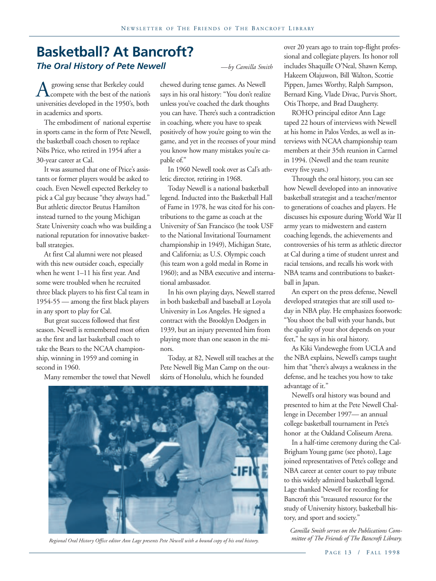## **Basketball? At Bancroft?** *The Oral History of Pete Newell —by Camilla Smith*

A growing sense that Berkeley could<br>universities developed in the 1950's, bo compete with the best of the nation's universities developed in the 1950's, both in academics and sports.

The embodiment of national expertise in sports came in the form of Pete Newell, the basketball coach chosen to replace Nibs Price, who retired in 1954 after a 30-year career at Cal.

It was assumed that one of Price's assistants or former players would be asked to coach. Even Newell expected Berkeley to pick a Cal guy because "they always had." But athletic director Brutus Hamilton instead turned to the young Michigan State University coach who was building a national reputation for innovative basketball strategies.

At first Cal alumni were not pleased with this new outsider coach, especially when he went 1–11 his first year. And some were troubled when he recruited three black players to his first Cal team in 1954-55 — among the first black players in any sport to play for Cal.

But great success followed that first season. Newell is remembered most often as the first and last basketball coach to take the Bears to the NCAA championship, winning in 1959 and coming in second in 1960.

Many remember the towel that Newell

chewed during tense games. As Newell says in his oral history: "You don't realize unless you've coached the dark thoughts you can have. There's such a contradiction in coaching, where you have to speak positively of how you're going to win the game, and yet in the recesses of your mind you know how many mistakes you're capable of."

In 1960 Newell took over as Cal's athletic director, retiring in 1968.

Today Newell is a national basketball legend. Inducted into the Basketball Hall of Fame in 1978, he was cited for his contributions to the game as coach at the University of San Francisco (he took USF to the National Invitational Tournament championship in 1949), Michigan State, and California; as U.S. Olympic coach (his team won a gold medal in Rome in 1960); and as NBA executive and international ambassador.

In his own playing days, Newell starred in both basketball and baseball at Loyola University in Los Angeles. He signed a contract with the Brooklyn Dodgers in 1939, but an injury prevented him from playing more than one season in the minors.

Today, at 82, Newell still teaches at the Pete Newell Big Man Camp on the outskirts of Honolulu, which he founded



*Regional Oral History Office editor Ann Lage presents Pete Newell with a bound copy of his oral history.*

over 20 years ago to train top-flight professional and collegiate players. Its honor roll includes Shaquille O'Neal, Shawn Kemp, Hakeem Olajuwon, Bill Walton, Scottie Pippen, James Worthy, Ralph Sampson, Bernard King, Vlade Divac, Purvis Short, Otis Thorpe, and Brad Daugherty.

ROHO principal editor Ann Lage taped 22 hours of interviews with Newell at his home in Palos Verdes, as well as interviews with NCAA championship team members at their 35th reunion in Carmel in 1994. (Newell and the team reunite every five years.)

Through the oral history, you can see how Newell developed into an innovative basketball strategist and a teacher/mentor to generations of coaches and players. He discusses his exposure during World War II army years to midwestern and eastern coaching legends, the achievements and controversies of his term as athletic director at Cal during a time of student unrest and racial tensions, and recalls his work with NBA teams and contributions to basketball in Japan.

An expert on the press defense, Newell developed strategies that are still used today in NBA play. He emphasizes footwork: "You shoot the ball with your hands, but the quality of your shot depends on your feet," he says in his oral history.

As Kiki Vandeweghe from UCLA and the NBA explains, Newell's camps taught him that "there's always a weakness in the defense, and he teaches you how to take advantage of it."

Newell's oral history was bound and presented to him at the Pete Newell Challenge in December 1997— an annual college basketball tournament in Pete's honor at the Oakland Coliseum Arena.

In a half-time ceremony during the Cal-Brigham Young game (see photo), Lage joined representatives of Pete's college and NBA career at center court to pay tribute to this widely admired basketball legend. Lage thanked Newell for recording for Bancroft this "treasured resource for the study of University history, basketball history, and sport and society."

*Camilla Smith serves on the Publications Committee of The Friends of The Bancroft Library.*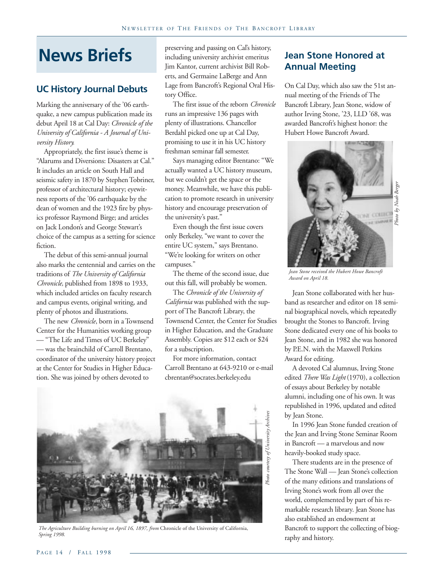## **News Briefs**

#### **UC History Journal Debuts**

Marking the anniversary of the '06 earthquake, a new campus publication made its debut April 18 at Cal Day: *Chronicle of the University of California - A Journal of University History.*

Appropriately, the first issue's theme is "Alarums and Diversions: Disasters at Cal." It includes an article on South Hall and seismic safety in 1870 by Stephen Tobriner, professor of architectural history; eyewitness reports of the '06 earthquake by the dean of women and the 1923 fire by physics professor Raymond Birge; and articles on Jack London's and George Stewart's choice of the campus as a setting for science fiction.

The debut of this semi-annual journal also marks the centennial and carries on the traditions of *The University of California Chronicle,* published from 1898 to 1933, which included articles on faculty research and campus events, original writing, and plenty of photos and illustrations.

The new *Chronicle*, born in a Townsend Center for the Humanities working group — "The Life and Times of UC Berkeley" — was the brainchild of Carroll Brentano, coordinator of the university history project at the Center for Studies in Higher Education. She was joined by others devoted to

preserving and passing on Cal's history, including university archivist emeritus Jim Kantor, current archivist Bill Roberts, and Germaine LaBerge and Ann Lage from Bancroft's Regional Oral History Office.

The first issue of the reborn *Chronicle* runs an impressive 136 pages with plenty of illustrations. Chancellor Berdahl picked one up at Cal Day, promising to use it in his UC history freshman seminar fall semester.

Says managing editor Brentano: "We actually wanted a UC history museum, but we couldn't get the space or the money. Meanwhile, we have this publication to promote research in university history and encourage preservation of the university's past."

Even though the first issue covers only Berkeley, "we want to cover the entire UC system," says Brentano. "We're looking for writers on other campuses."

The theme of the second issue, due out this fall, will probably be women.

The *Chronicle of the University of California* was published with the support of The Bancroft Library, the Townsend Center, the Center for Studies in Higher Education, and the Graduate Assembly. Copies are \$12 each or \$24 for a subscription.

For more information, contact Carroll Brentano at 643-9210 or e-mail cbrentan@socrates.berkeley.edu



*The Agriculture Building burning on April 16, 1897, from* Chronicle of the University of California, *Spring 1998.*

#### **Jean Stone Honored at Annual Meeting**

On Cal Day, which also saw the 51st annual meeting of the Friends of The Bancroft Library, Jean Stone, widow of author Irving Stone, '23, LLD '68, was awarded Bancroft's highest honor: the Hubert Howe Bancroft Award.



*Jean Stone received the Hubert Howe Bancroft Award on April 18.*

Jean Stone collaborated with her husband as researcher and editor on 18 seminal biographical novels, which repeatedly brought the Stones to Bancroft. Irving Stone dedicated every one of his books to Jean Stone, and in 1982 she was honored by P.E.N. with the Maxwell Perkins Award for editing.

A devoted Cal alumnus, Irving Stone edited *There Was Light* (1970), a collection of essays about Berkeley by notable alumni, including one of his own. It was republished in 1996, updated and edited by Jean Stone.

In 1996 Jean Stone funded creation of the Jean and Irving Stone Seminar Room in Bancroft — a marvelous and now heavily-booked study space.

There students are in the presence of The Stone Wall — Jean Stone's collection of the many editions and translations of Irving Stone's work from all over the world, complemented by part of his remarkable research library. Jean Stone has also established an endowment at Bancroft to support the collecting of biography and history.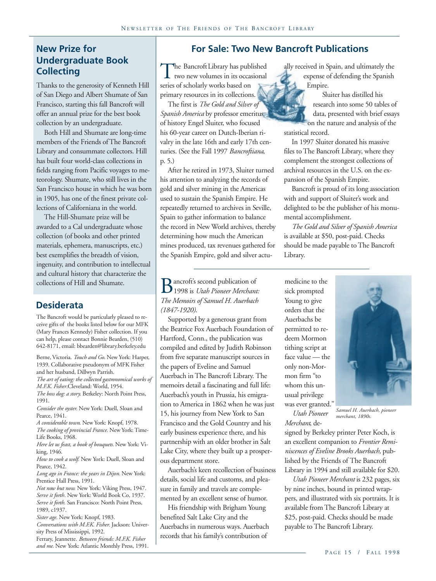## **Undergraduate Book Collecting**

Thanks to the generosity of Kenneth Hill of San Diego and Albert Shumate of San Francisco, starting this fall Bancroft will offer an annual prize for the best book collection by an undergraduate.

Both Hill and Shumate are long-time members of the Friends of The Bancroft Library and consummate collectors. Hill has built four world-class collections in fields ranging from Pacific voyages to meteorology. Shumate, who still lives in the San Francisco house in which he was born in 1905, has one of the finest private collections of Californiana in the world.

The Hill-Shumate prize will be awarded to a Cal undergraduate whose collection (of books and other printed materials, ephemera, manuscripts, etc.) best exemplifies the breadth of vision, ingenuity, and contribution to intellectual and cultural history that characterize the collections of Hill and Shumate.

#### **Desiderata**

The Bancroft would be particularly pleased to receive gifts of the books listed below for our MFK (Mary Frances Kennedy) Fisher collection. If you can help, please contact Bonnie Bearden, (510) 642-8171, email: bbearden@library.berkeley.edu

Berne, Victoria. *Touch and Go*. New York: Harper, 1939. Collaborative pseudonym of MFK Fisher and her husband, Dillwyn Parrish. *The art of eating: the collected gastronomical works of*

*M.F.K. Fisher*.Cleveland: World, 1954. *The boss dog: a story*. Berkeley: North Point Press,

1991.

*Consider the oyster.* New York: Duell, Sloan and Pearce, 1941.

*A considerable town*. New York: Knopf, 1978. *The cooking of provincial France.* New York: Time-Life Books, 1968.

*Here let us feast, a book of bouquets.* New York: Viking, 1946.

*How to cook a wolf.* New York: Duell, Sloan and Pearce, 1942.

*Long ago in France: the years in Dijon.* New York: Prentice Hall Press, 1991.

*Not now but now.* New York: Viking Press, 1947. *Serve it forth*. New York: World Book Co, 1937. *Serve it forth.* San Francisco: North Point Press, 1989, c1937.

*Sister age.* New York: Knopf, 1983.

*Conversations with M.F.K. Fisher.* Jackson: University Press of Mississippi, 1992.

Ferrary, Jeannette. *Between friends: M.F.K. Fisher and me.* New York: Atlantic Monthly Press, 1991.

#### **New Prize for For Sale: Two New Bancroft Publications**

The Bancroft Library has published<br>two new volumes in its occasional<br>series of scholarly works based on two new volumes in its occasional series of scholarly works based on primary resources in its collections.

The first is *The Gold and Silver of Spanish America* by professor emeritus of history Engel Sluiter, who focused his 60-year career on Dutch-Iberian rivalry in the late 16th and early 17th centuries. (See the Fall 1997 *Bancroftiana*, p. 5.)

After he retired in 1973, Sluiter turned his attention to analyzing the records of gold and silver mining in the Americas used to sustain the Spanish Empire. He repeatedly returned to archives in Seville, Spain to gather information to balance the record in New World archives, thereby determining how much the American mines produced, tax revenues gathered for the Spanish Empire, gold and silver actu-

**B** ancroft's second publication of<br>The Memoirs of Samuel H Auerback 1998 is *Utah Pioneer Merchant: The Memoirs of Samuel H. Auerbach (1847-1920)*.

Supported by a generous grant from the Beatrice Fox Auerbach Foundation of Hartford, Conn., the publication was compiled and edited by Judith Robinson from five separate manuscript sources in the papers of Eveline and Samuel Auerbach in The Bancroft Library. The memoirs detail a fascinating and full life: Auerbach's youth in Prussia, his emigration to America in 1862 when he was just 15, his journey from New York to San Francisco and the Gold Country and his early business experience there, and his partnership with an older brother in Salt Lake City, where they built up a prosperous department store.

Auerbach's keen recollection of business details, social life and customs, and pleasure in family and travels are complemented by an excellent sense of humor.

His friendship with Brigham Young benefited Salt Lake City and the Auerbachs in numerous ways. Auerbach records that his family's contribution of

ally received in Spain, and ultimately the expense of defending the Spanish Empire.

 Sluiter has distilled his research into some 50 tables of data, presented with brief essays on the nature and analysis of the statistical record.

In 1997 Sluiter donated his massive files to The Bancroft Library, where they complement the strongest collections of archival resources in the U.S. on the expansion of the Spanish Empire.

Bancroft is proud of its long association with and support of Sluiter's work and delighted to be the publisher of his monumental accomplishment.

*The Gold and Silver of Spanish America* is available at \$50, post-paid. Checks should be made payable to The Bancroft Library.

medicine to the sick prompted Young to give orders that the Auerbachs be permitted to redeem Mormon tithing script at face value — the only non-Mormon firm "to whom this unusual privilege was ever granted."

*Utah Pioneer Merchant*, de-

signed by Berkeley printer Peter Koch, is an excellent companion to *Frontier Reminiscences of Eveline Brooks Auerbach,* published by the Friends of The Bancroft Library in 1994 and still available for \$20.

*merchant, 1890s.*

*Utah Pioneer Merchant* is 232 pages, six by nine inches, bound in printed wrappers, and illustrated with six portraits. It is available from The Bancroft Library at \$25, post-paid. Checks should be made payable to The Bancroft Library.